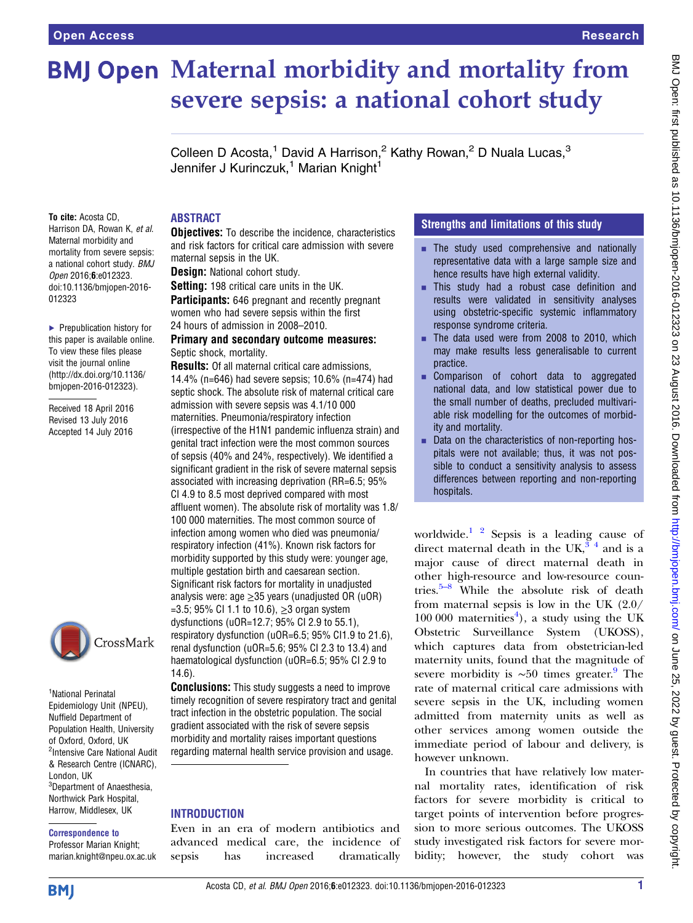# **BMJ Open Maternal morbidity and mortality from** severe sepsis: a national cohort study

Colleen D Acosta,<sup>1</sup> David A Harrison,<sup>2</sup> Kathy Rowan,<sup>2</sup> D Nuala Lucas,<sup>3</sup> Jennifer J Kurinczuk,<sup>1</sup> Marian Knight<sup>1</sup>

To cite: Acosta CD, Harrison DA, Rowan K, et al. Maternal morbidity and mortality from severe sepsis: a national cohort study. BMJ Open 2016;6:e012323. doi:10.1136/bmjopen-2016- 012323

▶ Prepublication history for this paper is available online. To view these files please visit the journal online [\(http://dx.doi.org/10.1136/](http://dx.doi.org/10.1136/bmjopen-2016-012323) [bmjopen-2016-012323](http://dx.doi.org/10.1136/bmjopen-2016-012323)).

Received 18 April 2016 Revised 13 July 2016 Accepted 14 July 2016



1 National Perinatal Epidemiology Unit (NPEU), Nuffield Department of Population Health, University of Oxford, Oxford, UK <sup>2</sup>Intensive Care National Audit & Research Centre (ICNARC), London, UK <sup>3</sup>Department of Anaesthesia, Northwick Park Hospital, Harrow, Middlesex, UK

#### Correspondence to

Professor Marian Knight; marian.knight@npeu.ox.ac.uk

## ABSTRACT

**Objectives:** To describe the incidence, characteristics and risk factors for critical care admission with severe maternal sepsis in the UK.

Design: National cohort study.

Setting: 198 critical care units in the UK. Participants: 646 pregnant and recently pregnant women who had severe sepsis within the first 24 hours of admission in 2008–2010.

## Primary and secondary outcome measures: Septic shock, mortality.

Results: Of all maternal critical care admissions, 14.4% (n=646) had severe sepsis; 10.6% (n=474) had septic shock. The absolute risk of maternal critical care admission with severe sepsis was 4.1/10 000 maternities. Pneumonia/respiratory infection (irrespective of the H1N1 pandemic influenza strain) and genital tract infection were the most common sources of sepsis (40% and 24%, respectively). We identified a significant gradient in the risk of severe maternal sepsis associated with increasing deprivation (RR=6.5; 95% CI 4.9 to 8.5 most deprived compared with most affluent women). The absolute risk of mortality was 1.8/ 100 000 maternities. The most common source of infection among women who died was pneumonia/ respiratory infection (41%). Known risk factors for morbidity supported by this study were: younger age, multiple gestation birth and caesarean section. Significant risk factors for mortality in unadjusted analysis were: age  $\geq$ 35 years (unadjusted OR (uOR) =3.5; 95% CI 1.1 to 10.6),  $\geq$ 3 organ system dysfunctions (uOR=12.7; 95% CI 2.9 to 55.1), respiratory dysfunction (uOR=6.5; 95% CI1.9 to 21.6), renal dysfunction (uOR=5.6; 95% CI 2.3 to 13.4) and haematological dysfunction (uOR=6.5; 95% CI 2.9 to 14.6).

**Conclusions:** This study suggests a need to improve timely recognition of severe respiratory tract and genital tract infection in the obstetric population. The social gradient associated with the risk of severe sepsis morbidity and mortality raises important questions regarding maternal health service provision and usage.

## INTRODUCTION

Even in an era of modern antibiotics and advanced medical care, the incidence of sepsis has increased dramatically

# Strengths and limitations of this study

- $\blacksquare$  The study used comprehensive and nationally representative data with a large sample size and hence results have high external validity.
- $\blacksquare$  This study had a robust case definition and results were validated in sensitivity analyses using obstetric-specific systemic inflammatory response syndrome criteria.
- The data used were from 2008 to 2010, which may make results less generalisable to current practice.
- **Exercise Comparison of cohort data to aggregated** national data, and low statistical power due to the small number of deaths, precluded multivariable risk modelling for the outcomes of morbidity and mortality.
- Data on the characteristics of non-reporting hospitals were not available; thus, it was not possible to conduct a sensitivity analysis to assess differences between reporting and non-reporting hospitals.

worldwide.[1 2](#page-7-0) Sepsis is a leading cause of direct maternal death in the UK, $3/4$  and is a major cause of direct maternal death in othe[r h](#page-7-0)igh-resource and low-resource countries. $5-8$  While the absolute risk of death from maternal sepsis is low in the UK (2.0/  $100 000$  maternities<sup>[4](#page-7-0)</sup>), a study using the UK Obstetric Surveillance System (UKOSS), which captures data from obstetrician-led maternity units, found that the magnitude of severe morbidity is  $~50$  times greater.<sup>9</sup> The rate of maternal critical care admissions with severe sepsis in the UK, including women admitted from maternity units as well as other services among women outside the immediate period of labour and delivery, is however unknown.

In countries that have relatively low maternal mortality rates, identification of risk factors for severe morbidity is critical to target points of intervention before progression to more serious outcomes. The UKOSS study investigated risk factors for severe morbidity; however, the study cohort was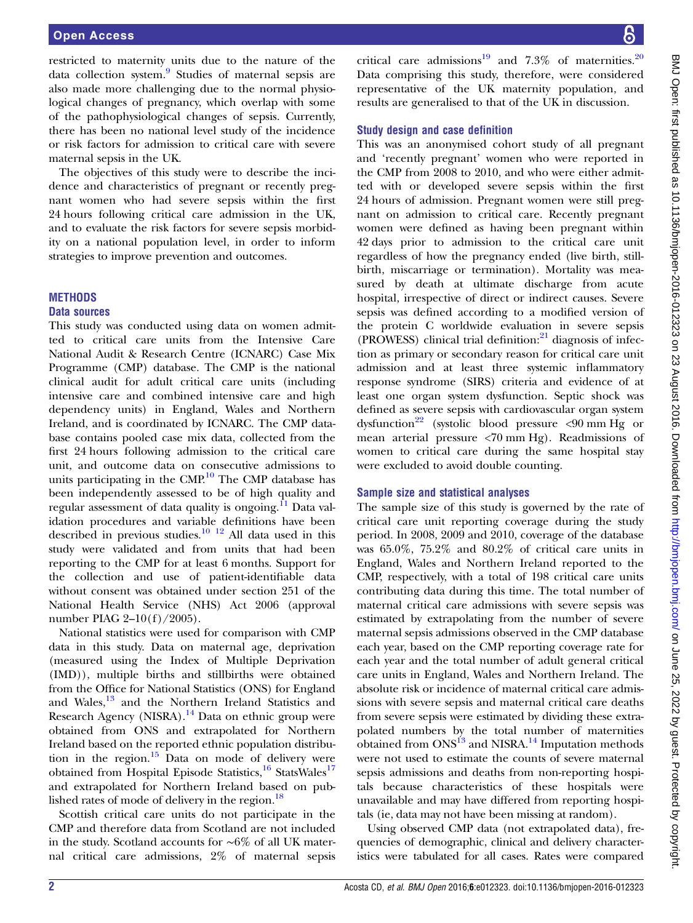restricted to maternity units due to the nature of the data collection system.<sup>[9](#page-7-0)</sup> Studies of maternal sepsis are also made more challenging due to the normal physiological changes of pregnancy, which overlap with some of the pathophysiological changes of sepsis. Currently, there has been no national level study of the incidence or risk factors for admission to critical care with severe maternal sepsis in the UK.

The objectives of this study were to describe the incidence and characteristics of pregnant or recently pregnant women who had severe sepsis within the first 24 hours following critical care admission in the UK, and to evaluate the risk factors for severe sepsis morbidity on a national population level, in order to inform strategies to improve prevention and outcomes.

#### **METHODS**

## Data sources

This study was conducted using data on women admitted to critical care units from the Intensive Care National Audit & Research Centre (ICNARC) Case Mix Programme (CMP) database. The CMP is the national clinical audit for adult critical care units (including intensive care and combined intensive care and high dependency units) in England, Wales and Northern Ireland, and is coordinated by ICNARC. The CMP database contains pooled case mix data, collected from the first 24 hours following admission to the critical care unit, and outcome data on consecutive admissions to units participating in the  $CMP<sup>10</sup>$  $CMP<sup>10</sup>$  $CMP<sup>10</sup>$  The CMP database has been independently assessed to be of high quality and regular assessment of data quality is ongoing.<sup>[11](#page-7-0)</sup> Data validation procedures and variable definitions have been described in previous studies.[10 12](#page-7-0) All data used in this study were validated and from units that had been reporting to the CMP for at least 6 months. Support for the collection and use of patient-identifiable data without consent was obtained under section 251 of the National Health Service (NHS) Act 2006 (approval number PIAG  $2-10(f)/2005$ ).

National statistics were used for comparison with CMP data in this study. Data on maternal age, deprivation (measured using the Index of Multiple Deprivation (IMD)), multiple births and stillbirths were obtained from the Office for National Statistics (ONS) for England and Wales,<sup>[13](#page-7-0)</sup> and the Northern Ireland Statistics and Research Agency (NISRA).<sup>[14](#page-7-0)</sup> Data on ethnic group were obtained from ONS and extrapolated for Northern Ireland based on the reported ethnic population distribution in the region. $15$  Data on mode of delivery were obtained from Hospital Episode Statistics,<sup>16</sup> StatsWales<sup>[17](#page-7-0)</sup> and extrapolated for Northern Ireland based on published rates of mode of delivery in the region.<sup>18</sup>

Scottish critical care units do not participate in the CMP and therefore data from Scotland are not included in the study. Scotland accounts for ∼6% of all UK maternal critical care admissions, 2% of maternal sepsis critical care admissions<sup>19</sup> and 7.3% of maternities.<sup>[20](#page-7-0)</sup> Data comprising this study, therefore, were considered representative of the UK maternity population, and results are generalised to that of the UK in discussion.

## Study design and case definition

This was an anonymised cohort study of all pregnant and 'recently pregnant' women who were reported in the CMP from 2008 to 2010, and who were either admitted with or developed severe sepsis within the first 24 hours of admission. Pregnant women were still pregnant on admission to critical care. Recently pregnant women were defined as having been pregnant within 42 days prior to admission to the critical care unit regardless of how the pregnancy ended (live birth, stillbirth, miscarriage or termination). Mortality was measured by death at ultimate discharge from acute hospital, irrespective of direct or indirect causes. Severe sepsis was defined according to a modified version of the protein C worldwide evaluation in severe sepsis (PROWESS) clinical trial definition: $^{21}$  $^{21}$  $^{21}$  diagnosis of infection as primary or secondary reason for critical care unit admission and at least three systemic inflammatory response syndrome (SIRS) criteria and evidence of at least one organ system dysfunction. Septic shock was defined as severe sepsis with cardiovascular organ system dysfunction<sup>[22](#page-7-0)</sup> (systolic blood pressure  $\langle 90 \text{ mm Hg} \rangle$  or mean arterial pressure <70 mm Hg). Readmissions of women to critical care during the same hospital stay were excluded to avoid double counting.

#### Sample size and statistical analyses

The sample size of this study is governed by the rate of critical care unit reporting coverage during the study period. In 2008, 2009 and 2010, coverage of the database was 65.0%, 75.2% and 80.2% of critical care units in England, Wales and Northern Ireland reported to the CMP, respectively, with a total of 198 critical care units contributing data during this time. The total number of maternal critical care admissions with severe sepsis was estimated by extrapolating from the number of severe maternal sepsis admissions observed in the CMP database each year, based on the CMP reporting coverage rate for each year and the total number of adult general critical care units in England, Wales and Northern Ireland. The absolute risk or incidence of maternal critical care admissions with severe sepsis and maternal critical care deaths from severe sepsis were estimated by dividing these extrapolated numbers by the total number of maternities obtained from  $\text{ONS}^{\text{13}}$  $\text{ONS}^{\text{13}}$  $\text{ONS}^{\text{13}}$  and NISRA.<sup>14</sup> Imputation methods were not used to estimate the counts of severe maternal sepsis admissions and deaths from non-reporting hospitals because characteristics of these hospitals were unavailable and may have differed from reporting hospitals (ie, data may not have been missing at random).

Using observed CMP data (not extrapolated data), frequencies of demographic, clinical and delivery characteristics were tabulated for all cases. Rates were compared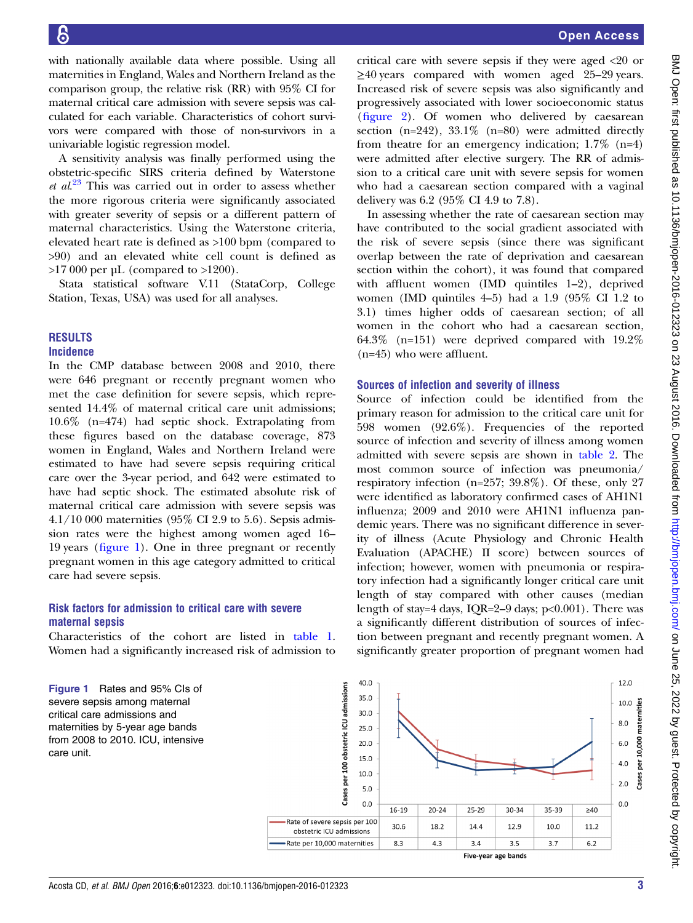with nationally available data where possible. Using all maternities in England, Wales and Northern Ireland as the comparison group, the relative risk (RR) with 95% CI for maternal critical care admission with severe sepsis was calculated for each variable. Characteristics of cohort survivors were compared with those of non-survivors in a univariable logistic regression model.

A sensitivity analysis was finally performed using the obstetric-specific SIRS criteria defined by Waterstone *et al.*<sup>[23](#page-7-0)</sup> This was carried out in order to assess whether the more rigorous criteria were significantly associated the more rigorous criteria were significantly associated with greater severity of sepsis or a different pattern of maternal characteristics. Using the Waterstone criteria, elevated heart rate is defined as >100 bpm (compared to >90) and an elevated white cell count is defined as  $>17000$  per µL (compared to  $>1200$ ).

Stata statistical software V.11 (StataCorp, College Station, Texas, USA) was used for all analyses.

### RESULTS Incidence

In the CMP database between 2008 and 2010, there were 646 pregnant or recently pregnant women who met the case definition for severe sepsis, which represented 14.4% of maternal critical care unit admissions; 10.6% (n=474) had septic shock. Extrapolating from these figures based on the database coverage, 873 women in England, Wales and Northern Ireland were estimated to have had severe sepsis requiring critical care over the 3-year period, and 642 were estimated to have had septic shock. The estimated absolute risk of maternal critical care admission with severe sepsis was 4.1/10 000 maternities (95% CI 2.9 to 5.6). Sepsis admission rates were the highest among women aged 16– 19 years (figure 1). One in three pregnant or recently pregnant women in this age category admitted to critical care had severe sepsis.

## Risk factors for admission to critical care with severe maternal sepsis

Characteristics of the cohort are listed in [table 1.](#page-3-0) Women had a significantly increased risk of admission to

Figure 1 Rates and 95% CIs of severe sepsis among maternal critical care admissions and maternities by 5-year age bands from 2008 to 2010. ICU, intensive care unit.

critical care with severe sepsis if they were aged <20 or  $\geq$ 40 years compared with women aged 25–29 years. Increased risk of severe sepsis was also significantly and progressively associated with lower socioeconomic status (fi[gure 2](#page-4-0)). Of women who delivered by caesarean section (n=242), 33.1% (n=80) were admitted directly from theatre for an emergency indication; 1.7% (n=4) were admitted after elective surgery. The RR of admission to a critical care unit with severe sepsis for women who had a caesarean section compared with a vaginal delivery was 6.2 (95% CI 4.9 to 7.8).

In assessing whether the rate of caesarean section may have contributed to the social gradient associated with the risk of severe sepsis (since there was significant overlap between the rate of deprivation and caesarean section within the cohort), it was found that compared with affluent women (IMD quintiles 1–2), deprived women (IMD quintiles 4–5) had a 1.9 (95% CI 1.2 to 3.1) times higher odds of caesarean section; of all women in the cohort who had a caesarean section, 64.3% (n=151) were deprived compared with 19.2% (n=45) who were affluent.

## Sources of infection and severity of illness

Source of infection could be identified from the primary reason for admission to the critical care unit for 598 women (92.6%). Frequencies of the reported source of infection and severity of illness among women admitted with severe sepsis are shown in [table 2.](#page-4-0) The most common source of infection was pneumonia/ respiratory infection (n=257; 39.8%). Of these, only 27 were identified as laboratory confirmed cases of AH1N1 influenza; 2009 and 2010 were AH1N1 influenza pandemic years. There was no significant difference in severity of illness (Acute Physiology and Chronic Health Evaluation (APACHE) II score) between sources of infection; however, women with pneumonia or respiratory infection had a significantly longer critical care unit length of stay compared with other causes (median length of stay=4 days, IQR=2-9 days;  $p<0.001$ ). There was a significantly different distribution of sources of infection between pregnant and recently pregnant women. A significantly greater proportion of pregnant women had

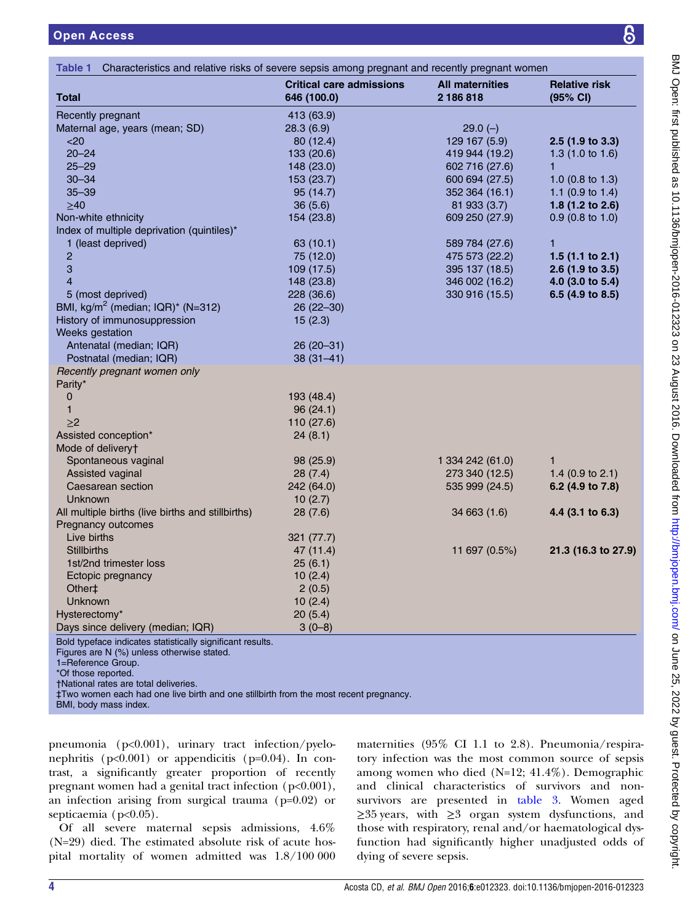<span id="page-3-0"></span>

| Characteristics and relative risks of severe sepsis among pregnant and recently pregnant women<br>Table 1 |                                 |                                     |                             |  |  |  |  |
|-----------------------------------------------------------------------------------------------------------|---------------------------------|-------------------------------------|-----------------------------|--|--|--|--|
| <b>Total</b>                                                                                              | <b>Critical care admissions</b> | <b>All maternities</b><br>2 186 818 | <b>Relative risk</b>        |  |  |  |  |
|                                                                                                           | 646 (100.0)                     |                                     | $(95% \text{ Cl})$          |  |  |  |  |
| Recently pregnant                                                                                         | 413 (63.9)                      |                                     |                             |  |  |  |  |
| Maternal age, years (mean; SD)                                                                            | 28.3 (6.9)                      | $29.0(-)$                           |                             |  |  |  |  |
| $20$                                                                                                      | 80 (12.4)                       | 129 167 (5.9)                       | $2.5(1.9 \text{ to } 3.3)$  |  |  |  |  |
| $20 - 24$                                                                                                 | 133 (20.6)                      | 419 944 (19.2)                      | 1.3 $(1.0 \text{ to } 1.6)$ |  |  |  |  |
| $25 - 29$                                                                                                 | 148 (23.0)                      | 602 716 (27.6)                      | $\mathbf{1}$                |  |  |  |  |
| $30 - 34$                                                                                                 | 153 (23.7)                      | 600 694 (27.5)                      | 1.0 $(0.8 \text{ to } 1.3)$ |  |  |  |  |
| $35 - 39$                                                                                                 | 95 (14.7)                       | 352 364 (16.1)                      | 1.1 $(0.9 \text{ to } 1.4)$ |  |  |  |  |
| >40                                                                                                       | 36(5.6)                         | 81 933 (3.7)                        | 1.8 $(1.2 \text{ to } 2.6)$ |  |  |  |  |
| Non-white ethnicity                                                                                       | 154 (23.8)                      | 609 250 (27.9)                      | $0.9$ (0.8 to 1.0)          |  |  |  |  |
| Index of multiple deprivation (quintiles)*                                                                |                                 |                                     |                             |  |  |  |  |
| 1 (least deprived)                                                                                        | 63 (10.1)                       | 589 784 (27.6)                      | 1                           |  |  |  |  |
| $\overline{c}$                                                                                            | 75 (12.0)                       | 475 573 (22.2)                      | 1.5 $(1.1$ to 2.1)          |  |  |  |  |
| 3                                                                                                         | 109 (17.5)                      | 395 137 (18.5)                      | 2.6 (1.9 to 3.5)            |  |  |  |  |
| $\overline{4}$                                                                                            | 148 (23.8)                      | 346 002 (16.2)                      | 4.0 (3.0 to 5.4)            |  |  |  |  |
| 5 (most deprived)                                                                                         | 228 (36.6)                      | 330 916 (15.5)                      | 6.5 $(4.9 \text{ to } 8.5)$ |  |  |  |  |
| BMI, $kg/m^2$ (median; IQR)* (N=312)                                                                      | $26(22-30)$                     |                                     |                             |  |  |  |  |
| History of immunosuppression                                                                              | 15(2.3)                         |                                     |                             |  |  |  |  |
| Weeks gestation                                                                                           |                                 |                                     |                             |  |  |  |  |
| Antenatal (median; IQR)                                                                                   | 26 (20 - 31)                    |                                     |                             |  |  |  |  |
| Postnatal (median; IQR)                                                                                   | $38(31 - 41)$                   |                                     |                             |  |  |  |  |
| Recently pregnant women only                                                                              |                                 |                                     |                             |  |  |  |  |
| Parity*                                                                                                   |                                 |                                     |                             |  |  |  |  |
| 0                                                                                                         | 193 (48.4)                      |                                     |                             |  |  |  |  |
| $\mathbf{1}$                                                                                              | 96(24.1)                        |                                     |                             |  |  |  |  |
|                                                                                                           |                                 |                                     |                             |  |  |  |  |
| >2                                                                                                        | 110 (27.6)                      |                                     |                             |  |  |  |  |
| Assisted conception*                                                                                      | 24(8.1)                         |                                     |                             |  |  |  |  |
| Mode of deliveryt                                                                                         |                                 |                                     |                             |  |  |  |  |
| Spontaneous vaginal                                                                                       | 98 (25.9)                       | 1 334 242 (61.0)                    | 1                           |  |  |  |  |
| Assisted vaginal                                                                                          | 28(7.4)                         | 273 340 (12.5)                      | 1.4 $(0.9 \text{ to } 2.1)$ |  |  |  |  |
| Caesarean section                                                                                         | 242 (64.0)                      | 535 999 (24.5)                      | 6.2 (4.9 to 7.8)            |  |  |  |  |
| Unknown                                                                                                   | 10(2.7)                         |                                     |                             |  |  |  |  |
| All multiple births (live births and stillbirths)                                                         | 28 (7.6)                        | 34 663 (1.6)                        | 4.4 (3.1 to 6.3)            |  |  |  |  |
| Pregnancy outcomes                                                                                        |                                 |                                     |                             |  |  |  |  |
| Live births                                                                                               | 321 (77.7)                      |                                     |                             |  |  |  |  |
| <b>Stillbirths</b>                                                                                        | 47 (11.4)                       | 11 697 (0.5%)                       | 21.3 (16.3 to 27.9)         |  |  |  |  |
| 1st/2nd trimester loss                                                                                    | 25(6.1)                         |                                     |                             |  |  |  |  |
| Ectopic pregnancy                                                                                         | 10(2.4)                         |                                     |                             |  |  |  |  |
| Other <sup>+</sup>                                                                                        | 2(0.5)                          |                                     |                             |  |  |  |  |
| Unknown                                                                                                   | 10(2.4)                         |                                     |                             |  |  |  |  |
| Hysterectomy*                                                                                             | 20(5.4)                         |                                     |                             |  |  |  |  |
| Days since delivery (median; IQR)                                                                         | $3(0-8)$                        |                                     |                             |  |  |  |  |
| Bold typeface indicates statistically significant results.                                                |                                 |                                     |                             |  |  |  |  |
| Figures are N (%) unless otherwise stated.                                                                |                                 |                                     |                             |  |  |  |  |

1=Reference Group. \*Of those reported.

†National rates are total deliveries.

‡Two women each had one live birth and one stillbirth from the most recent pregnancy.

BMI, body mass index.

pneumonia (p<0.001), urinary tract infection/pyelonephritis (p<0.001) or appendicitis (p=0.04). In contrast, a significantly greater proportion of recently pregnant women had a genital tract infection (p<0.001), an infection arising from surgical trauma (p=0.02) or septicaemia (p<0.05).

Of all severe maternal sepsis admissions, 4.6% (N=29) died. The estimated absolute risk of acute hospital mortality of women admitted was 1.8/100 000

maternities (95% CI 1.1 to 2.8). Pneumonia/respiratory infection was the most common source of sepsis among women who died (N=12; 41.4%). Demographic and clinical characteristics of survivors and nonsurvivors are presented in [table 3.](#page-5-0) Women aged  $\geq$ 35 years, with  $\geq$ 3 organ system dysfunctions, and those with respiratory, renal and/or haematological dysfunction had significantly higher unadjusted odds of dying of severe sepsis.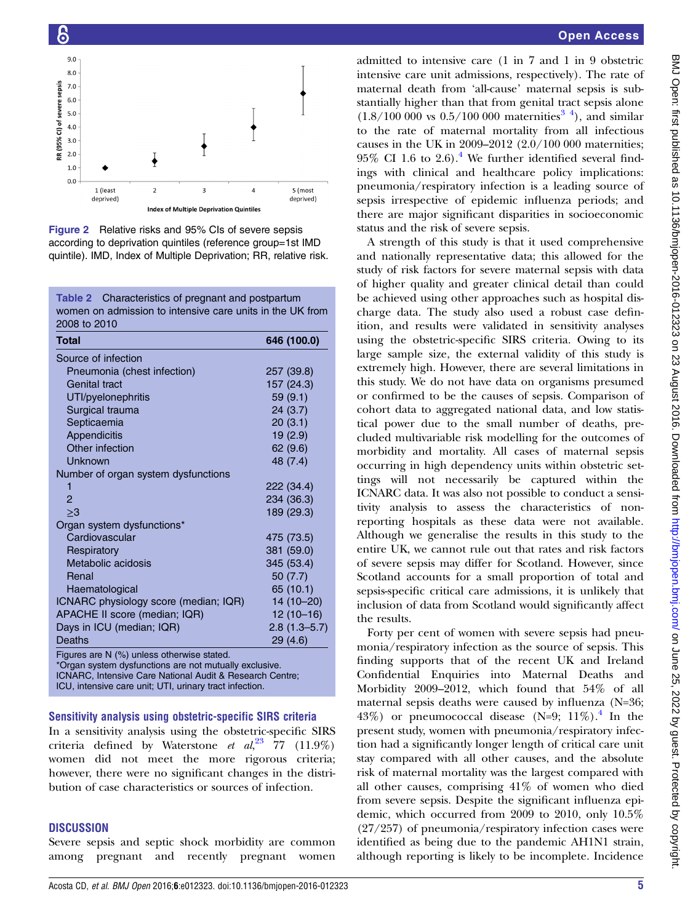<span id="page-4-0"></span>



Figure 2 Relative risks and 95% CIs of severe sepsis according to deprivation quintiles (reference group=1st IMD quintile). IMD, Index of Multiple Deprivation; RR, relative risk.

|              | <b>Table 2</b> Characteristics of pregnant and postpartum |
|--------------|-----------------------------------------------------------|
|              | women on admission to intensive care units in the UK from |
| 2008 to 2010 |                                                           |

| Total                                      | 646 (100.0)      |
|--------------------------------------------|------------------|
| Source of infection                        |                  |
| Pneumonia (chest infection)                | 257 (39.8)       |
| <b>Genital tract</b>                       | 157 (24.3)       |
| UTI/pyelonephritis                         | 59(9.1)          |
| Surgical trauma                            | 24(3.7)          |
| Septicaemia                                | 20(3.1)          |
| Appendicitis                               | 19(2.9)          |
| Other infection                            | 62 (9.6)         |
| Unknown                                    | 48 (7.4)         |
| Number of organ system dysfunctions        |                  |
| 1                                          | 222 (34.4)       |
| $\overline{2}$                             | 234 (36.3)       |
| >3                                         | 189 (29.3)       |
| Organ system dysfunctions*                 |                  |
| Cardiovascular                             | 475 (73.5)       |
| Respiratory                                | 381 (59.0)       |
| Metabolic acidosis                         | 345 (53.4)       |
| Renal                                      | 50(7.7)          |
| Haematological                             | 65 (10.1)        |
| ICNARC physiology score (median; IQR)      | 14 (10-20)       |
| APACHE II score (median; IQR)              | $12(10-16)$      |
| Days in ICU (median; IQR)                  | $2.8(1.3 - 5.7)$ |
| Deaths                                     | 29(4.6)          |
| Figures are N (%) unless otherwise stated. |                  |

\*Organ system dysfunctions are not mutually exclusive. ICNARC, Intensive Care National Audit & Research Centre;

ICU, intensive care unit; UTI, urinary tract infection.

#### Sensitivity analysis using obstetric-specific SIRS criteria

In a sensitivity analysis using the obstetric-specific SIRS criteria defined by Waterstone *et al*,<sup>[23](#page-7-0)</sup>  $\overline{77}$  (11.9%) women did not meet the more rigorous criteria; however, there were no significant changes in the distribution of case characteristics or sources of infection.

#### **DISCUSSION**

Severe sepsis and septic shock morbidity are common among pregnant and recently pregnant women

admitted to intensive care (1 in 7 and 1 in 9 obstetric intensive care unit admissions, respectively). The rate of maternal death from 'all-cause' maternal sepsis is substantially higher than that from genital tract sepsis alone  $(1.8/100\ 000 \text{ vs } 0.5/100\ 000 \text{ materials}^3\textsuperscript{4})$ , and similar to the rate of maternal mortality from all infectious causes in the UK in 2009–2012 (2.0/100 000 maternities;  $95\%$  CI 1.6 to 2.6).<sup>[4](#page-7-0)</sup> We further identified several findings with clinical and healthcare policy implications: pneumonia/respiratory infection is a leading source of sepsis irrespective of epidemic influenza periods; and there are major significant disparities in socioeconomic status and the risk of severe sepsis.

A strength of this study is that it used comprehensive and nationally representative data; this allowed for the study of risk factors for severe maternal sepsis with data of higher quality and greater clinical detail than could be achieved using other approaches such as hospital discharge data. The study also used a robust case definition, and results were validated in sensitivity analyses using the obstetric-specific SIRS criteria. Owing to its large sample size, the external validity of this study is extremely high. However, there are several limitations in this study. We do not have data on organisms presumed or confirmed to be the causes of sepsis. Comparison of cohort data to aggregated national data, and low statistical power due to the small number of deaths, precluded multivariable risk modelling for the outcomes of morbidity and mortality. All cases of maternal sepsis occurring in high dependency units within obstetric settings will not necessarily be captured within the ICNARC data. It was also not possible to conduct a sensitivity analysis to assess the characteristics of nonreporting hospitals as these data were not available. Although we generalise the results in this study to the entire UK, we cannot rule out that rates and risk factors of severe sepsis may differ for Scotland. However, since Scotland accounts for a small proportion of total and sepsis-specific critical care admissions, it is unlikely that inclusion of data from Scotland would significantly affect the results.

Forty per cent of women with severe sepsis had pneumonia/respiratory infection as the source of sepsis. This finding supports that of the recent UK and Ireland Confidential Enquiries into Maternal Deaths and Morbidity 2009–2012, which found that 54% of all maternal sepsis deaths were caused by influenza (N=36; [4](#page-7-0)3%) or pneumococcal disease  $(N=9; 11\%)$ .<sup>4</sup> In the present study, women with pneumonia/respiratory infection had a significantly longer length of critical care unit stay compared with all other causes, and the absolute risk of maternal mortality was the largest compared with all other causes, comprising 41% of women who died from severe sepsis. Despite the significant influenza epidemic, which occurred from 2009 to 2010, only 10.5% (27/257) of pneumonia/respiratory infection cases were identified as being due to the pandemic AH1N1 strain, although reporting is likely to be incomplete. Incidence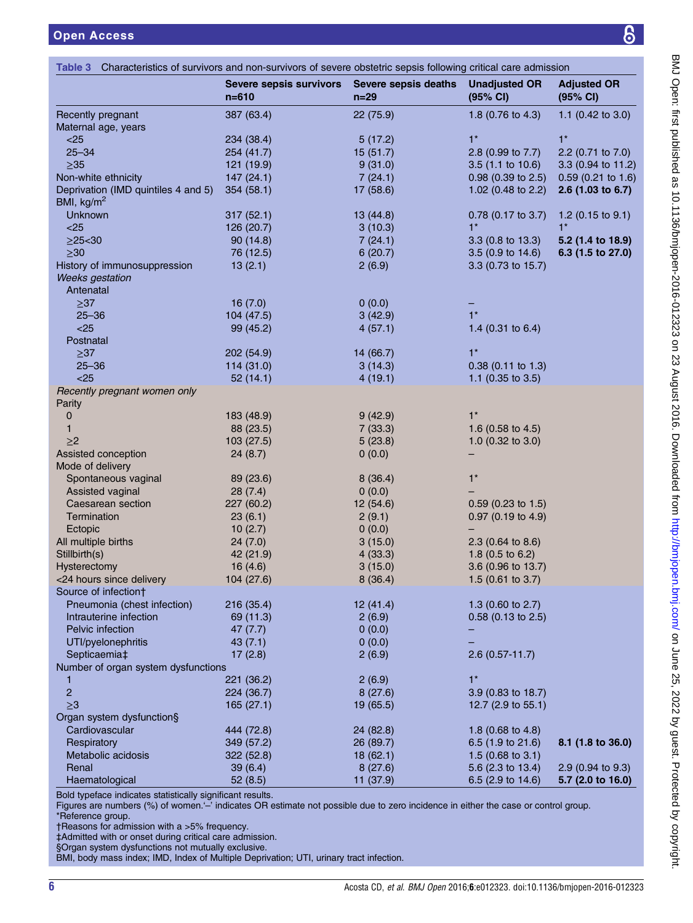<span id="page-5-0"></span>

| Characteristics of survivors and non-survivors of severe obstetric sepsis following critical care admission<br>Table 3 |                                      |                                |                                  |                                |  |  |  |
|------------------------------------------------------------------------------------------------------------------------|--------------------------------------|--------------------------------|----------------------------------|--------------------------------|--|--|--|
|                                                                                                                        | Severe sepsis survivors<br>$n = 610$ | Severe sepsis deaths<br>$n=29$ | <b>Unadjusted OR</b><br>(95% CI) | <b>Adjusted OR</b><br>(95% CI) |  |  |  |
| Recently pregnant                                                                                                      | 387 (63.4)                           | 22 (75.9)                      | 1.8 $(0.76 \text{ to } 4.3)$     | 1.1 $(0.42 \text{ to } 3.0)$   |  |  |  |
| Maternal age, years                                                                                                    |                                      |                                |                                  |                                |  |  |  |
| < 25                                                                                                                   | 234 (38.4)                           | 5(17.2)                        | $1*$                             | $1^*$                          |  |  |  |
| $25 - 34$                                                                                                              | 254 (41.7)                           | 15(51.7)                       | 2.8 (0.99 to 7.7)                | 2.2 (0.71 to 7.0)              |  |  |  |
| $\geq$ 35                                                                                                              | 121 (19.9)                           | 9(31.0)                        | $3.5(1.1 \text{ to } 10.6)$      | 3.3 (0.94 to 11.2)             |  |  |  |
| Non-white ethnicity                                                                                                    | 147(24.1)                            | 7(24.1)                        | $0.98$ (0.39 to 2.5)             | $0.59$ (0.21 to 1.6)           |  |  |  |
| Deprivation (IMD quintiles 4 and 5)                                                                                    | 354(58.1)                            | 17 (58.6)                      | 1.02 (0.48 to 2.2)               | 2.6 (1.03 to 6.7)              |  |  |  |
| BMI, $kg/m2$                                                                                                           |                                      |                                |                                  |                                |  |  |  |
| Unknown                                                                                                                | 317(52.1)                            | 13 (44.8)                      | $0.78$ (0.17 to 3.7)             | $1.2(0.15 \text{ to } 9.1)$    |  |  |  |
| < 25                                                                                                                   | 126 (20.7)                           | 3(10.3)                        | $1^*$                            | $1^*$                          |  |  |  |
| $\geq$ 25<30                                                                                                           | 90(14.8)                             | 7(24.1)                        | $3.3$ (0.8 to 13.3)              | 5.2 (1.4 to 18.9)              |  |  |  |
| $\geq 30$                                                                                                              | 76 (12.5)                            | 6(20.7)                        | $3.5(0.9 \text{ to } 14.6)$      | 6.3 (1.5 to 27.0)              |  |  |  |
| History of immunosuppression                                                                                           | 13(2.1)                              | 2(6.9)                         | 3.3 $(0.73$ to 15.7)             |                                |  |  |  |
| <b>Weeks</b> gestation<br>Antenatal                                                                                    |                                      |                                |                                  |                                |  |  |  |
| $\geq$ 37                                                                                                              | 16(7.0)                              | 0(0.0)                         |                                  |                                |  |  |  |
| $25 - 36$                                                                                                              | 104 (47.5)                           | 3(42.9)                        | $1*$                             |                                |  |  |  |
| < 25                                                                                                                   | 99 (45.2)                            | 4(57.1)                        | 1.4 $(0.31$ to 6.4)              |                                |  |  |  |
| Postnatal                                                                                                              |                                      |                                |                                  |                                |  |  |  |
| $\geq$ 37                                                                                                              | 202 (54.9)                           | 14 (66.7)                      | $1*$                             |                                |  |  |  |
| $25 - 36$                                                                                                              | 114 (31.0)                           | 3(14.3)                        | $0.38$ (0.11 to 1.3)             |                                |  |  |  |
| < 25                                                                                                                   | 52(14.1)                             | 4(19.1)                        | 1.1 $(0.35 \text{ to } 3.5)$     |                                |  |  |  |
| Recently pregnant women only<br>Parity                                                                                 |                                      |                                |                                  |                                |  |  |  |
| 0                                                                                                                      | 183 (48.9)                           | 9(42.9)                        | $1*$                             |                                |  |  |  |
| 1                                                                                                                      | 88 (23.5)                            | 7(33.3)                        | 1.6 $(0.58 \text{ to } 4.5)$     |                                |  |  |  |
| $\geq$ 2                                                                                                               | 103(27.5)                            | 5(23.8)                        | 1.0 $(0.32$ to 3.0)              |                                |  |  |  |
| Assisted conception<br>Mode of delivery                                                                                | 24(8.7)                              | 0(0.0)                         |                                  |                                |  |  |  |
| Spontaneous vaginal                                                                                                    | 89 (23.6)                            | 8(36.4)                        | $1*$                             |                                |  |  |  |
| Assisted vaginal                                                                                                       | 28(7.4)                              | 0(0.0)                         |                                  |                                |  |  |  |
| Caesarean section                                                                                                      | 227 (60.2)                           | 12(54.6)                       | $0.59$ (0.23 to 1.5)             |                                |  |  |  |
| Termination                                                                                                            | 23(6.1)                              | 2(9.1)                         | 0.97 (0.19 to 4.9)               |                                |  |  |  |
| Ectopic                                                                                                                | 10(2.7)                              | 0(0.0)                         |                                  |                                |  |  |  |
| All multiple births                                                                                                    | 24(7.0)                              | 3(15.0)                        | 2.3 (0.64 to 8.6)                |                                |  |  |  |
| Stillbirth(s)                                                                                                          | 42 (21.9)                            | 4(33.3)                        | 1.8 $(0.5 \text{ to } 6.2)$      |                                |  |  |  |
| Hysterectomy                                                                                                           | 16(4.6)                              | 3(15.0)                        | 3.6 (0.96 to 13.7)               |                                |  |  |  |
| <24 hours since delivery                                                                                               | 104(27.6)                            | 8(36.4)                        | 1.5 (0.61 to 3.7)                |                                |  |  |  |
| Source of infection†                                                                                                   |                                      |                                |                                  |                                |  |  |  |
| Pneumonia (chest infection)                                                                                            | 216 (35.4)                           | 12(41.4)                       | 1.3 (0.60 to 2.7)                |                                |  |  |  |
| Intrauterine infection                                                                                                 | 69 (11.3)                            | 2(6.9)                         | 0.58 (0.13 to 2.5)               |                                |  |  |  |
| Pelvic infection                                                                                                       | 47(7.7)                              | 0(0.0)                         |                                  |                                |  |  |  |
| UTI/pyelonephritis                                                                                                     | 43(7.1)                              | 0(0.0)                         |                                  |                                |  |  |  |
| Septicaemia‡                                                                                                           | 17(2.8)                              | 2(6.9)                         | $2.6(0.57-11.7)$                 |                                |  |  |  |
| Number of organ system dysfunctions                                                                                    |                                      |                                |                                  |                                |  |  |  |
| 1                                                                                                                      | 221 (36.2)                           | 2(6.9)                         | $1*$                             |                                |  |  |  |
| $\overline{c}$                                                                                                         | 224 (36.7)                           | 8(27.6)                        | 3.9 (0.83 to 18.7)               |                                |  |  |  |
| $\geq 3$                                                                                                               | 165(27.1)                            | 19 (65.5)                      | 12.7 (2.9 to 55.1)               |                                |  |  |  |
| Organ system dysfunction§                                                                                              |                                      |                                |                                  |                                |  |  |  |
| Cardiovascular                                                                                                         | 444 (72.8)                           | 24 (82.8)                      | 1.8 (0.68 to 4.8)                |                                |  |  |  |
| Respiratory                                                                                                            | 349 (57.2)                           | 26 (89.7)                      | 6.5 $(1.9 \text{ to } 21.6)$     | 8.1 (1.8 to 36.0)              |  |  |  |
| Metabolic acidosis                                                                                                     | 322(52.8)                            | 18(62.1)                       | 1.5 $(0.68 \text{ to } 3.1)$     |                                |  |  |  |
| Renal                                                                                                                  | 39(6.4)                              | 8(27.6)                        | 5.6 $(2.3 \text{ to } 13.4)$     | $2.9$ (0.94 to 9.3)            |  |  |  |
| Haematological                                                                                                         | 52(8.5)                              | 11(37.9)                       | 6.5 (2.9 to $14.6$ )             | 5.7 (2.0 to 16.0)              |  |  |  |

Bold typeface indicates statistically significant results.

Figures are numbers (%) of women.'-' indicates OR estimate not possible due to zero incidence in either the case or control group. \*Reference group.

†Reasons for admission with a >5% frequency.

‡Admitted with or onset during critical care admission.

§Organ system dysfunctions not mutually exclusive.

BMI, body mass index; IMD, Index of Multiple Deprivation; UTI, urinary tract infection.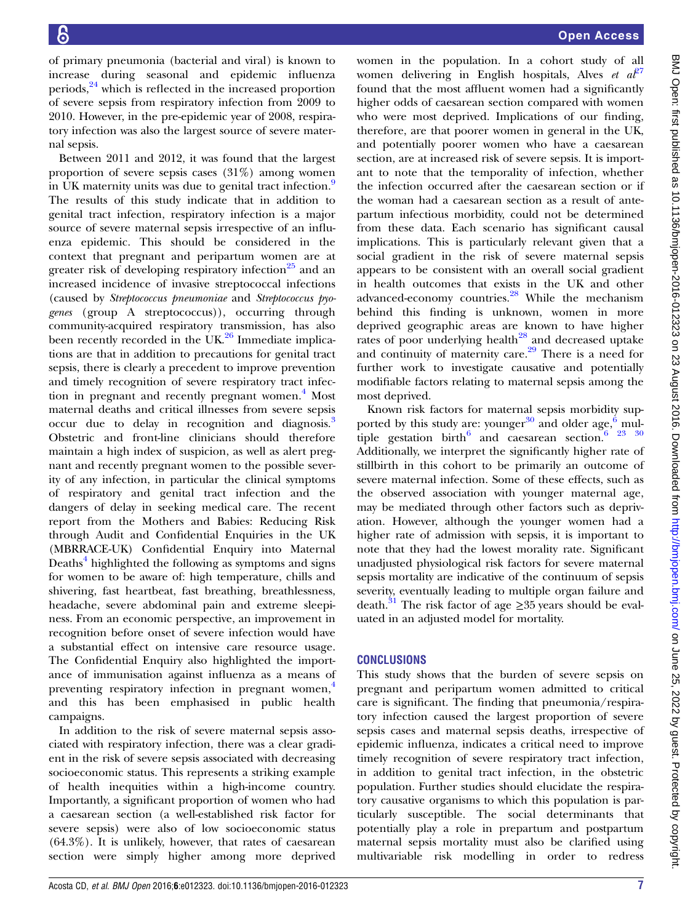of primary pneumonia (bacterial and viral) is known to increase during seasonal and epidemic influenza periods,<sup>[24](#page-7-0)</sup> which is reflected in the increased proportion of severe sepsis from respiratory infection from 2009 to 2010. However, in the pre-epidemic year of 2008, respiratory infection was also the largest source of severe maternal sepsis.

Between 2011 and 2012, it was found that the largest proportion of severe sepsis cases (31%) among women in UK maternity units was due to genital tract infection.<sup>[9](#page-7-0)</sup> The results of this study indicate that in addition to genital tract infection, respiratory infection is a major source of severe maternal sepsis irrespective of an influenza epidemic. This should be considered in the context that pregnant and peripartum women are at greater risk of developing respiratory infection<sup>[25](#page-7-0)</sup> and an increased incidence of invasive streptococcal infections (caused by Streptococcus pneumoniae and Streptococcus pyogenes (group A streptococcus)), occurring through community-acquired respiratory transmission, has also been recently recorded in the UK $^{26}$  $^{26}$  $^{26}$  Immediate implications are that in addition to precautions for genital tract sepsis, there is clearly a precedent to improve prevention and timely recognition of severe respiratory tract infec-tion in pregnant and recently pregnant women.<sup>[4](#page-7-0)</sup> Most maternal deaths and critical illnesses from severe sepsis occur due to delay in recognition and diagnosis.<sup>[3](#page-7-0)</sup> Obstetric and front-line clinicians should therefore maintain a high index of suspicion, as well as alert pregnant and recently pregnant women to the possible severity of any infection, in particular the clinical symptoms of respiratory and genital tract infection and the dangers of delay in seeking medical care. The recent report from the Mothers and Babies: Reducing Risk through Audit and Confidential Enquiries in the UK (MBRRACE-UK) Confidential Enquiry into Maternal Deaths $4$  highlighted the following as symptoms and signs for women to be aware of: high temperature, chills and shivering, fast heartbeat, fast breathing, breathlessness, headache, severe abdominal pain and extreme sleepiness. From an economic perspective, an improvement in recognition before onset of severe infection would have a substantial effect on intensive care resource usage. The Confidential Enquiry also highlighted the importance of immunisation against influenza as a means of preventing respiratory infection in pregnant women,<sup>[4](#page-7-0)</sup> and this has been emphasised in public health campaigns.

In addition to the risk of severe maternal sepsis associated with respiratory infection, there was a clear gradient in the risk of severe sepsis associated with decreasing socioeconomic status. This represents a striking example of health inequities within a high-income country. Importantly, a significant proportion of women who had a caesarean section (a well-established risk factor for severe sepsis) were also of low socioeconomic status (64.3%). It is unlikely, however, that rates of caesarean section were simply higher among more deprived

women in the population. In a cohort study of all women delivering in English hospitals, Alves et  $a^{\beta 7}$ found that the most affluent women had a significantly higher odds of caesarean section compared with women who were most deprived. Implications of our finding, therefore, are that poorer women in general in the UK, and potentially poorer women who have a caesarean section, are at increased risk of severe sepsis. It is important to note that the temporality of infection, whether the infection occurred after the caesarean section or if the woman had a caesarean section as a result of antepartum infectious morbidity, could not be determined from these data. Each scenario has significant causal implications. This is particularly relevant given that a social gradient in the risk of severe maternal sepsis appears to be consistent with an overall social gradient in health outcomes that exists in the UK and other advanced-economy countries.<sup>[28](#page-7-0)</sup> While the mechanism behind this finding is unknown, women in more deprived geographic areas are known to have higher rates of poor underlying health<sup>[28](#page-7-0)</sup> and decreased uptake and continuity of maternity care. $29$  There is a need for further work to investigate causative and potentially modifiable factors relating to maternal sepsis among the most deprived.

Known risk factors for maternal sepsis morbidity sup-ported by this study are: younger<sup>[30](#page-7-0)</sup> and older age, $6$  mul-tiple gestation birth<sup>[6](#page-7-0)</sup> and caesarean section.<sup>6 23</sup> <sup>30</sup> Additionally, we interpret the significantly higher rate of stillbirth in this cohort to be primarily an outcome of severe maternal infection. Some of these effects, such as the observed association with younger maternal age, may be mediated through other factors such as deprivation. However, although the younger women had a higher rate of admission with sepsis, it is important to note that they had the lowest morality rate. Significant unadjusted physiological risk factors for severe maternal sepsis mortality are indicative of the continuum of sepsis severity, eventually leading to multiple organ failure and death.<sup>[31](#page-7-0)</sup> The risk factor of age  $\geq$ 35 years should be evaluated in an adjusted model for mortality.

# **CONCLUSIONS**

This study shows that the burden of severe sepsis on pregnant and peripartum women admitted to critical care is significant. The finding that pneumonia/respiratory infection caused the largest proportion of severe sepsis cases and maternal sepsis deaths, irrespective of epidemic influenza, indicates a critical need to improve timely recognition of severe respiratory tract infection, in addition to genital tract infection, in the obstetric population. Further studies should elucidate the respiratory causative organisms to which this population is particularly susceptible. The social determinants that potentially play a role in prepartum and postpartum maternal sepsis mortality must also be clarified using multivariable risk modelling in order to redress